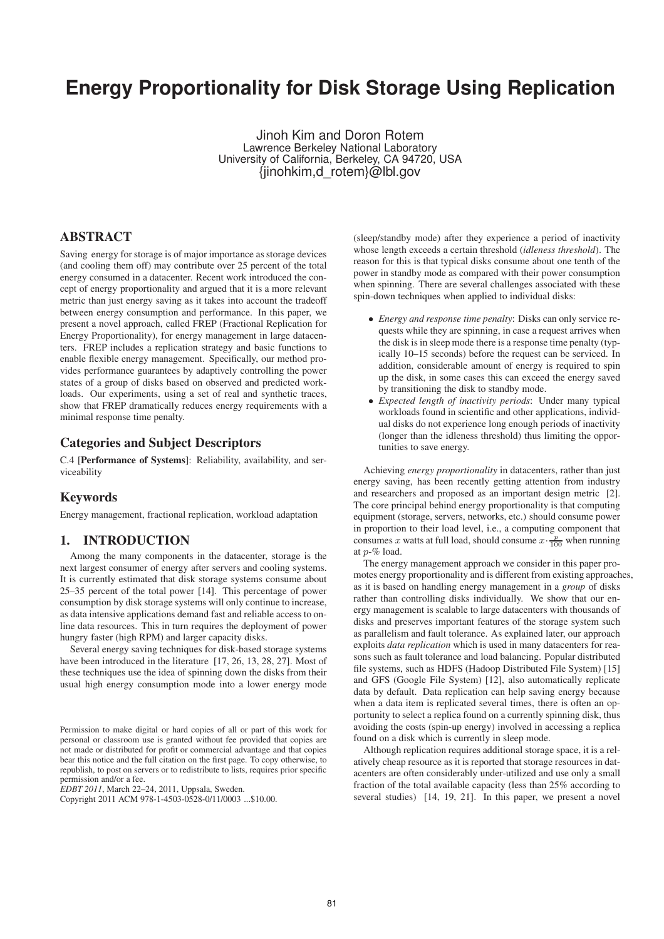# **Energy Proportionality for Disk Storage Using Replication**

Jinoh Kim and Doron Rotem Lawrence Berkeley National Laboratory University of California, Berkeley, CA 94720, USA {jinohkim,d\_rotem}@lbl.gov

# **ABSTRACT**

Saving energy for storage is of major importance as storage devices (and cooling them off) may contribute over 25 percent of the total energy consumed in a datacenter. Recent work introduced the concept of energy proportionality and argued that it is a more relevant metric than just energy saving as it takes into account the tradeoff between energy consumption and performance. In this paper, we present a novel approach, called FREP (Fractional Replication for Energy Proportionality), for energy management in large datacenters. FREP includes a replication strategy and basic functions to enable flexible energy management. Specifically, our method provides performance guarantees by adaptively controlling the power states of a group of disks based on observed and predicted workloads. Our experiments, using a set of real and synthetic traces, show that FREP dramatically reduces energy requirements with a minimal response time penalty.

## **Categories and Subject Descriptors**

C.4 [**Performance of Systems**]: Reliability, availability, and serviceability

## **Keywords**

Energy management, fractional replication, workload adaptation

## **1. INTRODUCTION**

Among the many components in the datacenter, storage is the next largest consumer of energy after servers and cooling systems. It is currently estimated that disk storage systems consume about 25–35 percent of the total power [14]. This percentage of power consumption by disk storage systems will only continue to increase, as data intensive applications demand fast and reliable access to online data resources. This in turn requires the deployment of power hungry faster (high RPM) and larger capacity disks.

Several energy saving techniques for disk-based storage systems have been introduced in the literature [17, 26, 13, 28, 27]. Most of these techniques use the idea of spinning down the disks from their usual high energy consumption mode into a lower energy mode

*EDBT 2011*, March 22–24, 2011, Uppsala, Sweden.

(sleep/standby mode) after they experience a period of inactivity whose length exceeds a certain threshold (*idleness threshold*). The reason for this is that typical disks consume about one tenth of the power in standby mode as compared with their power consumption when spinning. There are several challenges associated with these spin-down techniques when applied to individual disks:

- *Energy and response time penalty*: Disks can only service requests while they are spinning, in case a request arrives when the disk is in sleep mode there is a response time penalty (typically 10–15 seconds) before the request can be serviced. In addition, considerable amount of energy is required to spin up the disk, in some cases this can exceed the energy saved by transitioning the disk to standby mode.
- *Expected length of inactivity periods*: Under many typical workloads found in scientific and other applications, individual disks do not experience long enough periods of inactivity (longer than the idleness threshold) thus limiting the opportunities to save energy.

Achieving *energy proportionality* in datacenters, rather than just energy saving, has been recently getting attention from industry and researchers and proposed as an important design metric [2]. The core principal behind energy proportionality is that computing equipment (storage, servers, networks, etc.) should consume power in proportion to their load level, i.e., a computing component that consumes x watts at full load, should consume  $x \cdot \frac{p}{100}$  when running at  $p-\%$  load.

The energy management approach we consider in this paper promotes energy proportionality and is different from existing approaches, as it is based on handling energy management in a *group* of disks rather than controlling disks individually. We show that our energy management is scalable to large datacenters with thousands of disks and preserves important features of the storage system such as parallelism and fault tolerance. As explained later, our approach exploits *data replication* which is used in many datacenters for reasons such as fault tolerance and load balancing. Popular distributed file systems, such as HDFS (Hadoop Distributed File System) [15] and GFS (Google File System) [12], also automatically replicate data by default. Data replication can help saving energy because when a data item is replicated several times, there is often an opportunity to select a replica found on a currently spinning disk, thus avoiding the costs (spin-up energy) involved in accessing a replica found on a disk which is currently in sleep mode.

Although replication requires additional storage space, it is a relatively cheap resource as it is reported that storage resources in datacenters are often considerably under-utilized and use only a small fraction of the total available capacity (less than 25% according to several studies) [14, 19, 21]. In this paper, we present a novel

Permission to make digital or hard copies of all or part of this work for personal or classroom use is granted without fee provided that copies are not made or distributed for profit or commercial advantage and that copies bear this notice and the full citation on the first page. To copy otherwise, to republish, to post on servers or to redistribute to lists, requires prior specific permission and/or a fee.

Copyright 2011 ACM 978-1-4503-0528-0/11/0003 ...\$10.00.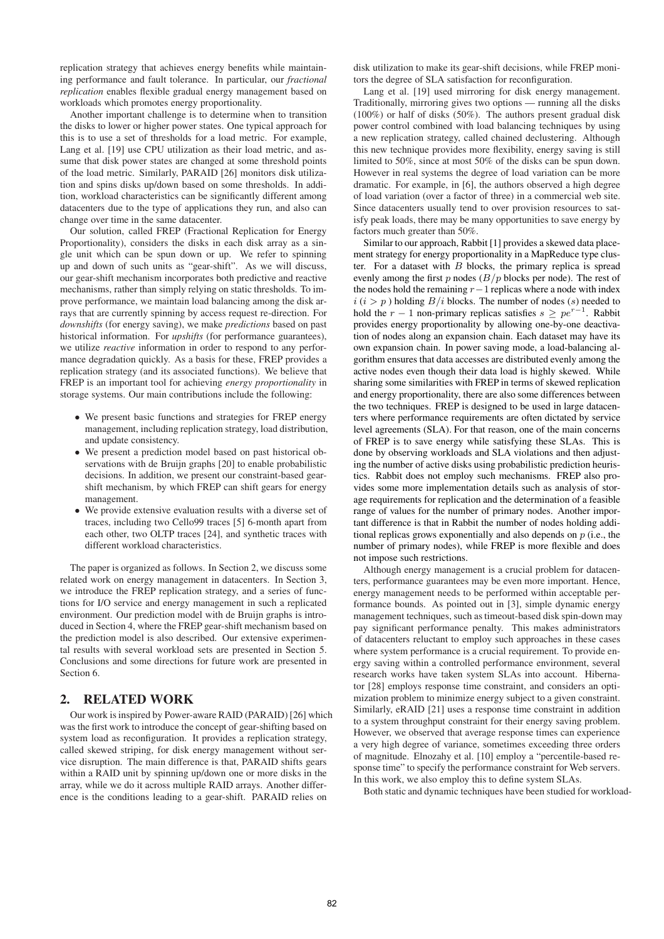replication strategy that achieves energy benefits while maintaining performance and fault tolerance. In particular, our *fractional replication* enables flexible gradual energy management based on workloads which promotes energy proportionality.

Another important challenge is to determine when to transition the disks to lower or higher power states. One typical approach for this is to use a set of thresholds for a load metric. For example, Lang et al. [19] use CPU utilization as their load metric, and assume that disk power states are changed at some threshold points of the load metric. Similarly, PARAID [26] monitors disk utilization and spins disks up/down based on some thresholds. In addition, workload characteristics can be significantly different among datacenters due to the type of applications they run, and also can change over time in the same datacenter.

Our solution, called FREP (Fractional Replication for Energy Proportionality), considers the disks in each disk array as a single unit which can be spun down or up. We refer to spinning up and down of such units as "gear-shift". As we will discuss, our gear-shift mechanism incorporates both predictive and reactive mechanisms, rather than simply relying on static thresholds. To improve performance, we maintain load balancing among the disk arrays that are currently spinning by access request re-direction. For *downshifts* (for energy saving), we make *predictions* based on past historical information. For *upshifts* (for performance guarantees), we utilize *reactive* information in order to respond to any performance degradation quickly. As a basis for these, FREP provides a replication strategy (and its associated functions). We believe that FREP is an important tool for achieving *energy proportionality* in storage systems. Our main contributions include the following:

- We present basic functions and strategies for FREP energy management, including replication strategy, load distribution, and update consistency.
- We present a prediction model based on past historical observations with de Bruijn graphs [20] to enable probabilistic decisions. In addition, we present our constraint-based gearshift mechanism, by which FREP can shift gears for energy management.
- We provide extensive evaluation results with a diverse set of traces, including two Cello99 traces [5] 6-month apart from each other, two OLTP traces [24], and synthetic traces with different workload characteristics.

The paper is organized as follows. In Section 2, we discuss some related work on energy management in datacenters. In Section 3, we introduce the FREP replication strategy, and a series of functions for I/O service and energy management in such a replicated environment. Our prediction model with de Bruijn graphs is introduced in Section 4, where the FREP gear-shift mechanism based on the prediction model is also described. Our extensive experimental results with several workload sets are presented in Section 5. Conclusions and some directions for future work are presented in Section 6.

# **2. RELATED WORK**

Our work is inspired by Power-aware RAID (PARAID) [26] which was the first work to introduce the concept of gear-shifting based on system load as reconfiguration. It provides a replication strategy, called skewed striping, for disk energy management without service disruption. The main difference is that, PARAID shifts gears within a RAID unit by spinning up/down one or more disks in the array, while we do it across multiple RAID arrays. Another difference is the conditions leading to a gear-shift. PARAID relies on

disk utilization to make its gear-shift decisions, while FREP monitors the degree of SLA satisfaction for reconfiguration.

Lang et al. [19] used mirroring for disk energy management. Traditionally, mirroring gives two options — running all the disks (100%) or half of disks (50%). The authors present gradual disk power control combined with load balancing techniques by using a new replication strategy, called chained declustering. Although this new technique provides more flexibility, energy saving is still limited to 50%, since at most 50% of the disks can be spun down. However in real systems the degree of load variation can be more dramatic. For example, in [6], the authors observed a high degree of load variation (over a factor of three) in a commercial web site. Since datacenters usually tend to over provision resources to satisfy peak loads, there may be many opportunities to save energy by factors much greater than 50%.

Similar to our approach, Rabbit [1] provides a skewed data placement strategy for energy proportionality in a MapReduce type cluster. For a dataset with  $B$  blocks, the primary replica is spread evenly among the first p nodes  $(B/p)$  blocks per node). The rest of the nodes hold the remaining  $r-1$  replicas where a node with index  $i (i > p)$  holding  $B/i$  blocks. The number of nodes (s) needed to hold the  $r - 1$  non-primary replicas satisfies  $s \geq pe^{r-1}$ . Rabbit provides energy proportionality by allowing one-by-one deactivation of nodes along an expansion chain. Each dataset may have its own expansion chain. In power saving mode, a load-balancing algorithm ensures that data accesses are distributed evenly among the active nodes even though their data load is highly skewed. While sharing some similarities with FREP in terms of skewed replication and energy proportionality, there are also some differences between the two techniques. FREP is designed to be used in large datacenters where performance requirements are often dictated by service level agreements (SLA). For that reason, one of the main concerns of FREP is to save energy while satisfying these SLAs. This is done by observing workloads and SLA violations and then adjusting the number of active disks using probabilistic prediction heuristics. Rabbit does not employ such mechanisms. FREP also provides some more implementation details such as analysis of storage requirements for replication and the determination of a feasible range of values for the number of primary nodes. Another important difference is that in Rabbit the number of nodes holding additional replicas grows exponentially and also depends on  $p$  (i.e., the number of primary nodes), while FREP is more flexible and does not impose such restrictions.

Although energy management is a crucial problem for datacenters, performance guarantees may be even more important. Hence, energy management needs to be performed within acceptable performance bounds. As pointed out in [3], simple dynamic energy management techniques, such as timeout-based disk spin-down may pay significant performance penalty. This makes administrators of datacenters reluctant to employ such approaches in these cases where system performance is a crucial requirement. To provide energy saving within a controlled performance environment, several research works have taken system SLAs into account. Hibernator [28] employs response time constraint, and considers an optimization problem to minimize energy subject to a given constraint. Similarly, eRAID [21] uses a response time constraint in addition to a system throughput constraint for their energy saving problem. However, we observed that average response times can experience a very high degree of variance, sometimes exceeding three orders of magnitude. Elnozahy et al. [10] employ a "percentile-based response time" to specify the performance constraint for Web servers. In this work, we also employ this to define system SLAs.

Both static and dynamic techniques have been studied for workload-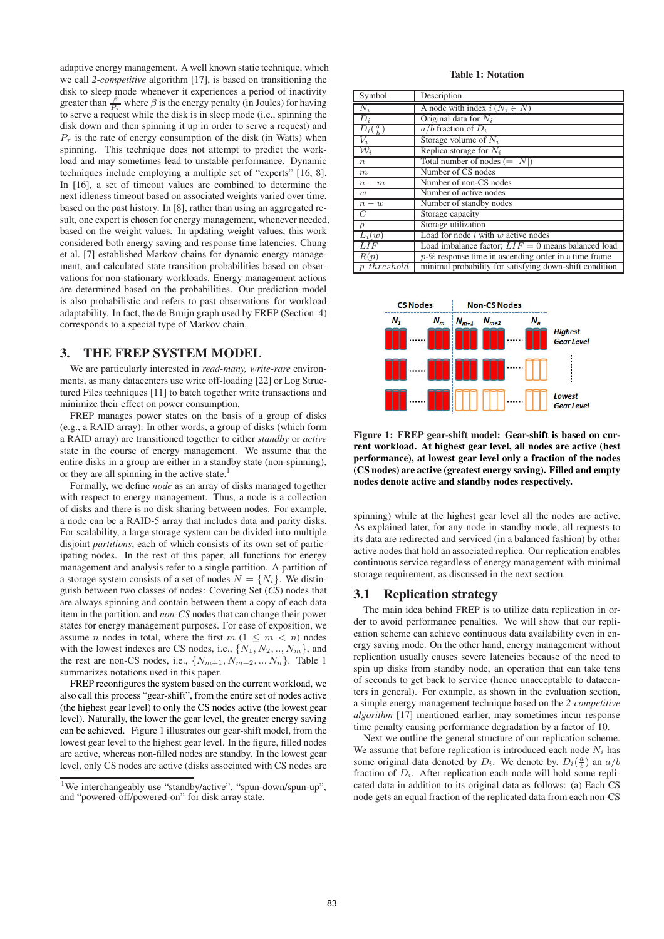adaptive energy management. A well known static technique, which we call *2-competitive* algorithm [17], is based on transitioning the disk to sleep mode whenever it experiences a period of inactivity greater than  $\frac{\beta}{P_{\tau}}$  where  $\beta$  is the energy penalty (in Joules) for having to serve a request while the disk is in sleep mode (i.e., spinning the disk down and then spinning it up in order to serve a request) and  $P<sub>\tau</sub>$  is the rate of energy consumption of the disk (in Watts) when spinning. This technique does not attempt to predict the workload and may sometimes lead to unstable performance. Dynamic techniques include employing a multiple set of "experts" [16, 8]. In [16], a set of timeout values are combined to determine the next idleness timeout based on associated weights varied over time, based on the past history. In [8], rather than using an aggregated result, one expert is chosen for energy management, whenever needed, based on the weight values. In updating weight values, this work considered both energy saving and response time latencies. Chung et al. [7] established Markov chains for dynamic energy management, and calculated state transition probabilities based on observations for non-stationary workloads. Energy management actions are determined based on the probabilities. Our prediction model is also probabilistic and refers to past observations for workload adaptability. In fact, the de Bruijn graph used by FREP (Section 4) corresponds to a special type of Markov chain.

# **3. THE FREP SYSTEM MODEL**

We are particularly interested in *read-many, write-rare* environments, as many datacenters use write off-loading [22] or Log Structured Files techniques [11] to batch together write transactions and minimize their effect on power consumption.

FREP manages power states on the basis of a group of disks (e.g., a RAID array). In other words, a group of disks (which form a RAID array) are transitioned together to either *standby* or *active* state in the course of energy management. We assume that the entire disks in a group are either in a standby state (non-spinning), or they are all spinning in the active state.<sup>1</sup>

Formally, we define *node* as an array of disks managed together with respect to energy management. Thus, a node is a collection of disks and there is no disk sharing between nodes. For example, a node can be a RAID-5 array that includes data and parity disks. For scalability, a large storage system can be divided into multiple disjoint *partitions*, each of which consists of its own set of participating nodes. In the rest of this paper, all functions for energy management and analysis refer to a single partition. A partition of a storage system consists of a set of nodes  $N = \{N_i\}$ . We distinguish between two classes of nodes: Covering Set (*CS*) nodes that are always spinning and contain between them a copy of each data item in the partition, and *non-CS* nodes that can change their power states for energy management purposes. For ease of exposition, we assume *n* nodes in total, where the first  $m (1 \leq m < n)$  nodes with the lowest indexes are CS nodes, i.e.,  $\{N_1, N_2, ..., N_m\}$ , and the rest are non-CS nodes, i.e.,  $\{N_{m+1}, N_{m+2}, ..., N_n\}$ . Table 1 summarizes notations used in this paper.

FREP reconfigures the system based on the current workload, we also call this process "gear-shift", from the entire set of nodes active (the highest gear level) to only the CS nodes active (the lowest gear level). Naturally, the lower the gear level, the greater energy saving can be achieved. Figure 1 illustrates our gear-shift model, from the lowest gear level to the highest gear level. In the figure, filled nodes are active, whereas non-filled nodes are standby. In the lowest gear level, only CS nodes are active (disks associated with CS nodes are

#### **Table 1: Notation**

| Symbol             | Description                                             |
|--------------------|---------------------------------------------------------|
| $N_i$              | A node with index $i (N_i \in N)$                       |
| $D_i$              | Original data for $N_i$                                 |
| $D_i(\frac{a}{b})$ | $a/b$ fraction of $D_i$                                 |
| $V_i$              | Storage volume of $N_i$                                 |
| $\mathcal{W}_i$    | Replica storage for $N_i$                               |
| $\boldsymbol{n}$   | Total number of nodes $(=  N )$                         |
| m                  | Number of CS nodes                                      |
| $n-m$              | Number of non-CS nodes                                  |
| w                  | Number of active nodes                                  |
| $n-w$              | Number of standby nodes                                 |
| $\overline{C}$     | Storage capacity                                        |
| $\rho$             | Storage utilization                                     |
| $L_i(w)$           | Load for node $i$ with $w$ active nodes                 |
| LIF                | Load imbalance factor; $LIF = 0$ means balanced load    |
| R(p)               | $p-\%$ response time in ascending order in a time frame |
| p threshold        | minimal probability for satisfying down-shift condition |



**Figure 1: FREP gear-shift model: Gear-shift is based on current workload. At highest gear level, all nodes are active (best performance), at lowest gear level only a fraction of the nodes (CS nodes) are active (greatest energy saving). Filled and empty nodes denote active and standby nodes respectively.**

spinning) while at the highest gear level all the nodes are active. As explained later, for any node in standby mode, all requests to its data are redirected and serviced (in a balanced fashion) by other active nodes that hold an associated replica. Our replication enables continuous service regardless of energy management with minimal storage requirement, as discussed in the next section.

# **3.1 Replication strategy**

The main idea behind FREP is to utilize data replication in order to avoid performance penalties. We will show that our replication scheme can achieve continuous data availability even in energy saving mode. On the other hand, energy management without replication usually causes severe latencies because of the need to spin up disks from standby node, an operation that can take tens of seconds to get back to service (hence unacceptable to datacenters in general). For example, as shown in the evaluation section, a simple energy management technique based on the *2-competitive algorithm* [17] mentioned earlier, may sometimes incur response time penalty causing performance degradation by a factor of 10.

Next we outline the general structure of our replication scheme. We assume that before replication is introduced each node  $N_i$  has some original data denoted by  $D_i$ . We denote by,  $D_i(\frac{a}{b})$  an  $a/b$ fraction of  $D_i$ . After replication each node will hold some replicated data in addition to its original data as follows: (a) Each CS node gets an equal fraction of the replicated data from each non-CS

<sup>&</sup>lt;sup>1</sup>We interchangeably use "standby/active", "spun-down/spun-up", and "powered-off/powered-on" for disk array state.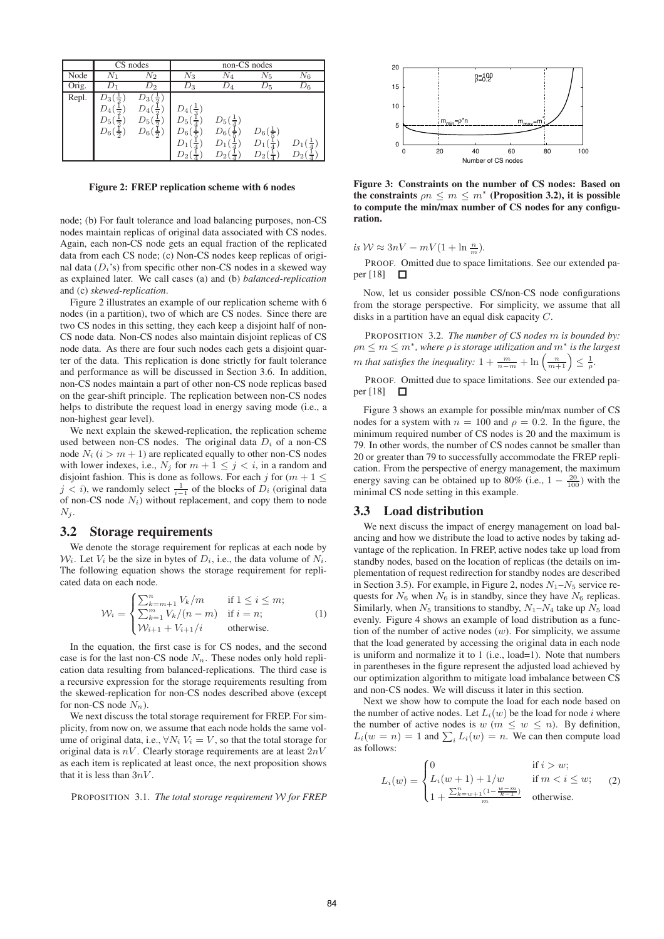|       | CS nodes                     |                                           | non-CS nodes                         |                                     |                          |       |
|-------|------------------------------|-------------------------------------------|--------------------------------------|-------------------------------------|--------------------------|-------|
| Node  |                              | IV 2                                      | Nз                                   |                                     | Λ5                       | TV6   |
| Orig. |                              | $U_2$                                     | $D_3$                                |                                     | $D_{5}$                  | $D_6$ |
| Repl. | $D_5($<br>$D_6(\frac{1}{2})$ | $\nu_3$<br>$\nu_5($<br>$D_6(\frac{1}{2})$ | $D_4(\frac{1}{2})$<br>$D_5$<br>$D_6$ | $D_5(\frac{1}{4})$<br>$D_6$ l<br>ŧ, | $D_6(\frac{1}{5})$<br>D0 | ÷     |

**Figure 2: FREP replication scheme with 6 nodes**

node; (b) For fault tolerance and load balancing purposes, non-CS nodes maintain replicas of original data associated with CS nodes. Again, each non-CS node gets an equal fraction of the replicated data from each CS node; (c) Non-CS nodes keep replicas of original data  $(D_i)$ 's) from specific other non-CS nodes in a skewed way as explained later. We call cases (a) and (b) *balanced-replication* and (c) *skewed-replication*.

Figure 2 illustrates an example of our replication scheme with 6 nodes (in a partition), two of which are CS nodes. Since there are two CS nodes in this setting, they each keep a disjoint half of non-CS node data. Non-CS nodes also maintain disjoint replicas of CS node data. As there are four such nodes each gets a disjoint quarter of the data. This replication is done strictly for fault tolerance and performance as will be discussed in Section 3.6. In addition, non-CS nodes maintain a part of other non-CS node replicas based on the gear-shift principle. The replication between non-CS nodes helps to distribute the request load in energy saving mode (i.e., a non-highest gear level).

We next explain the skewed-replication, the replication scheme used between non-CS nodes. The original data  $D_i$  of a non-CS node  $N_i$  ( $i > m + 1$ ) are replicated equally to other non-CS nodes with lower indexes, i.e.,  $N_j$  for  $m + 1 \leq j \leq i$ , in a random and disjoint fashion. This is done as follows. For each j for  $(m + 1 \leq$  $j < i$ ), we randomly select  $\frac{1}{i-1}$  of the blocks of  $D_i$  (original data of non-CS node  $N_i$ ) without replacement, and copy them to node  $N_i$ .

## **3.2 Storage requirements**

We denote the storage requirement for replicas at each node by  $W_i$ . Let  $V_i$  be the size in bytes of  $D_i$ , i.e., the data volume of  $N_i$ . The following equation shows the storage requirement for replicated data on each node.

$$
\mathcal{W}_i = \begin{cases} \sum_{k=m+1}^n V_k/m & \text{if } 1 \le i \le m; \\ \sum_{k=1}^m V_k/(n-m) & \text{if } i = n; \\ \mathcal{W}_{i+1} + V_{i+1}/i & \text{otherwise.} \end{cases} \tag{1}
$$

In the equation, the first case is for CS nodes, and the second case is for the last non-CS node  $N_n$ . These nodes only hold replication data resulting from balanced-replications. The third case is a recursive expression for the storage requirements resulting from the skewed-replication for non-CS nodes described above (except for non-CS node  $N_n$ ).

We next discuss the total storage requirement for FREP. For simplicity, from now on, we assume that each node holds the same volume of original data, i.e.,  $\forall N_i$   $V_i = V$ , so that the total storage for original data is  $nV$ . Clearly storage requirements are at least  $2nV$ as each item is replicated at least once, the next proposition shows that it is less than  $3nV$ .

PROPOSITION 3.1. *The total storage requirement* W *for FREP*



**Figure 3: Constraints on the number of CS nodes: Based on the constraints**  $\rho n \leq m \leq m^*$  (Proposition 3.2), it is possible **to compute the min/max number of CS nodes for any configuration.**

 $is\ \mathcal{W} \approx 3nV - mV(1 + \ln\frac{n}{m}).$ 

PROOF. Omitted due to space limitations. See our extended paper [18]  $\Box$ 

Now, let us consider possible CS/non-CS node configurations from the storage perspective. For simplicity, we assume that all disks in a partition have an equal disk capacity C.

PROPOSITION 3.2. *The number of CS nodes* m *is bounded by:*  $\rho n \leq m \leq m^*$ , where  $\rho$  *is storage utilization and*  $m^*$  *is the largest m that satisfies the inequality:*  $1 + \frac{m}{n-m} + \ln\left(\frac{n}{m+1}\right) \leq \frac{1}{\rho}$ .

PROOF. Omitted due to space limitations. See our extended paper [18]  $\Box$ 

Figure 3 shows an example for possible min/max number of CS nodes for a system with  $n = 100$  and  $\rho = 0.2$ . In the figure, the minimum required number of CS nodes is 20 and the maximum is 79. In other words, the number of CS nodes cannot be smaller than 20 or greater than 79 to successfully accommodate the FREP replication. From the perspective of energy management, the maximum energy saving can be obtained up to 80% (i.e.,  $1 - \frac{20}{100}$ ) with the minimal CS node setting in this example.

## **3.3 Load distribution**

We next discuss the impact of energy management on load balancing and how we distribute the load to active nodes by taking advantage of the replication. In FREP, active nodes take up load from standby nodes, based on the location of replicas (the details on implementation of request redirection for standby nodes are described in Section 3.5). For example, in Figure 2, nodes  $N_1 - N_5$  service requests for  $N_6$  when  $N_6$  is in standby, since they have  $N_6$  replicas. Similarly, when  $N_5$  transitions to standby,  $N_1 - N_4$  take up  $N_5$  load evenly. Figure 4 shows an example of load distribution as a function of the number of active nodes  $(w)$ . For simplicity, we assume that the load generated by accessing the original data in each node is uniform and normalize it to 1 (i.e., load=1). Note that numbers in parentheses in the figure represent the adjusted load achieved by our optimization algorithm to mitigate load imbalance between CS and non-CS nodes. We will discuss it later in this section.

Next we show how to compute the load for each node based on the number of active nodes. Let  $L_i(w)$  be the load for node i where the number of active nodes is  $w$  ( $m \leq w \leq n$ ). By definition,  $L_i(w = n) = 1$  and  $\sum_i L_i(w) = n$ . We can then compute load as follows:

$$
L_i(w) = \begin{cases} 0 & \text{if } i > w; \\ L_i(w+1) + 1/w & \text{if } m < i \le w; \\ 1 + \frac{\sum_{k=w+1}^n (1 - \frac{w-m}{k-1})}{m} & \text{otherwise.} \end{cases}
$$
 (2)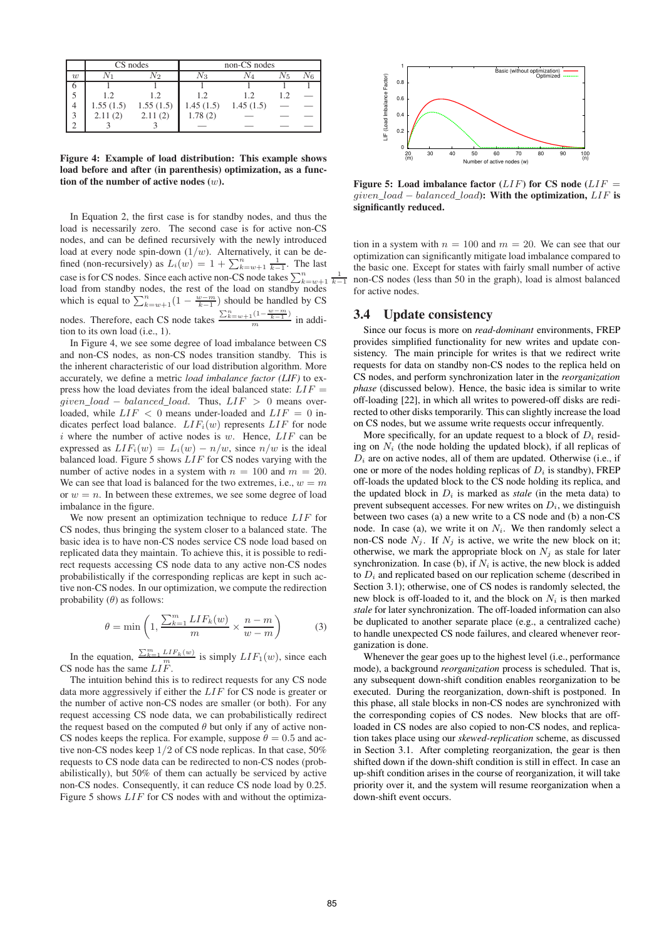|   | CS nodes  |           | non-CS nodes |           |         |  |
|---|-----------|-----------|--------------|-----------|---------|--|
| w |           | ٧o        |              |           | $N_{5}$ |  |
|   |           |           |              |           |         |  |
|   | 1.2.      | 1.2       | 1.2          | 12        | 12      |  |
|   | 1.55(1.5) | 1.55(1.5) | 1.45(1.5)    | 1.45(1.5) |         |  |
|   | 2.11(2)   | 2.11(2)   | 1.78(2)      |           |         |  |
|   |           |           |              |           |         |  |

**Figure 4: Example of load distribution: This example shows load before and after (in parenthesis) optimization, as a function of the number of active nodes (**w**).**

In Equation 2, the first case is for standby nodes, and thus the load is necessarily zero. The second case is for active non-CS nodes, and can be defined recursively with the newly introduced load at every node spin-down  $(1/w)$ . Alternatively, it can be defined (non-recursively) as  $L_i(w) = 1 + \sum_{k=w+1}^{n} \frac{1}{k-1}$ . The last case is for CS nodes. Since each active non-CS node takes  $\sum_{k=w+1}^{n} \frac{1}{k-1}$ load from standby nodes, the rest of the load on standby nodes which is equal to  $\sum_{k=w+1}^{n} (1 - \frac{w-m}{k-1})$  should be handled by CS nodes. Therefore, each CS node takes  $\frac{\sum_{k=w+1}^{n}(1-\frac{w-m}{k-1})}{m}$  in addition to its own load (i.e., 1).

In Figure 4, we see some degree of load imbalance between CS and non-CS nodes, as non-CS nodes transition standby. This is the inherent characteristic of our load distribution algorithm. More accurately, we define a metric *load imbalance factor (LIF)* to express how the load deviates from the ideal balanced state:  $LIF =$  $given\_load - balanced\_load.$  Thus,  $LIF > 0$  means overloaded, while  $LIF < 0$  means under-loaded and  $LIF = 0$  indicates perfect load balance.  $LIF_i(w)$  represents  $LIF$  for node  $i$  where the number of active nodes is  $w$ . Hence,  $LIF$  can be expressed as  $LIF_i(w) = L_i(w) - n/w$ , since  $n/w$  is the ideal balanced load. Figure 5 shows  $LIF$  for CS nodes varying with the number of active nodes in a system with  $n = 100$  and  $m = 20$ . We can see that load is balanced for the two extremes, i.e.,  $w = m$ or  $w = n$ . In between these extremes, we see some degree of load imbalance in the figure.

We now present an optimization technique to reduce  $LIF$  for CS nodes, thus bringing the system closer to a balanced state. The basic idea is to have non-CS nodes service CS node load based on replicated data they maintain. To achieve this, it is possible to redirect requests accessing CS node data to any active non-CS nodes probabilistically if the corresponding replicas are kept in such active non-CS nodes. In our optimization, we compute the redirection probability  $(\theta)$  as follows:

$$
\theta = \min\left(1, \frac{\sum_{k=1}^{m} LIF_k(w)}{m} \times \frac{n-m}{w-m}\right) \tag{3}
$$

In the equation,  $\frac{\sum_{k=1}^{m} LIF_k(w)}{m}$  is simply  $LIF_1(w)$ , since each CS node has the same  $LI\overset{m}{F}$ .

The intuition behind this is to redirect requests for any CS node data more aggressively if either the  $LIF$  for CS node is greater or the number of active non-CS nodes are smaller (or both). For any request accessing CS node data, we can probabilistically redirect the request based on the computed  $\theta$  but only if any of active non-CS nodes keeps the replica. For example, suppose  $\theta = 0.5$  and active non-CS nodes keep 1/2 of CS node replicas. In that case, 50% requests to CS node data can be redirected to non-CS nodes (probabilistically), but 50% of them can actually be serviced by active non-CS nodes. Consequently, it can reduce CS node load by 0.25. Figure 5 shows LIF for CS nodes with and without the optimiza-



**Figure 5:** Load imbalance factor  $(LIF)$  for CS node  $(LIF)$ given**\_**load − balanced**\_**load**): With the optimization,** LIF **is significantly reduced.**

tion in a system with  $n = 100$  and  $m = 20$ . We can see that our optimization can significantly mitigate load imbalance compared to the basic one. Except for states with fairly small number of active non-CS nodes (less than 50 in the graph), load is almost balanced for active nodes.

## **3.4 Update consistency**

Since our focus is more on *read-dominant* environments, FREP provides simplified functionality for new writes and update consistency. The main principle for writes is that we redirect write requests for data on standby non-CS nodes to the replica held on CS nodes, and perform synchronization later in the *reorganization phase* (discussed below). Hence, the basic idea is similar to write off-loading [22], in which all writes to powered-off disks are redirected to other disks temporarily. This can slightly increase the load on CS nodes, but we assume write requests occur infrequently.

More specifically, for an update request to a block of  $D_i$  residing on  $N_i$  (the node holding the updated block), if all replicas of  $D_i$  are on active nodes, all of them are updated. Otherwise (i.e., if one or more of the nodes holding replicas of  $D_i$  is standby), FREP off-loads the updated block to the CS node holding its replica, and the updated block in  $D_i$  is marked as *stale* (in the meta data) to prevent subsequent accesses. For new writes on  $D_i$ , we distinguish between two cases (a) a new write to a CS node and (b) a non-CS node. In case (a), we write it on  $N_i$ . We then randomly select a non-CS node  $N_i$ . If  $N_i$  is active, we write the new block on it; otherwise, we mark the appropriate block on  $N_j$  as stale for later synchronization. In case (b), if  $N_i$  is active, the new block is added to  $D_i$  and replicated based on our replication scheme (described in Section 3.1); otherwise, one of CS nodes is randomly selected, the new block is off-loaded to it, and the block on  $N_i$  is then marked *stale* for later synchronization. The off-loaded information can also be duplicated to another separate place (e.g., a centralized cache) to handle unexpected CS node failures, and cleared whenever reorganization is done.

Whenever the gear goes up to the highest level (i.e., performance mode), a background *reorganization* process is scheduled. That is, any subsequent down-shift condition enables reorganization to be executed. During the reorganization, down-shift is postponed. In this phase, all stale blocks in non-CS nodes are synchronized with the corresponding copies of CS nodes. New blocks that are offloaded in CS nodes are also copied to non-CS nodes, and replication takes place using our *skewed-replication* scheme, as discussed in Section 3.1. After completing reorganization, the gear is then shifted down if the down-shift condition is still in effect. In case an up-shift condition arises in the course of reorganization, it will take priority over it, and the system will resume reorganization when a down-shift event occurs.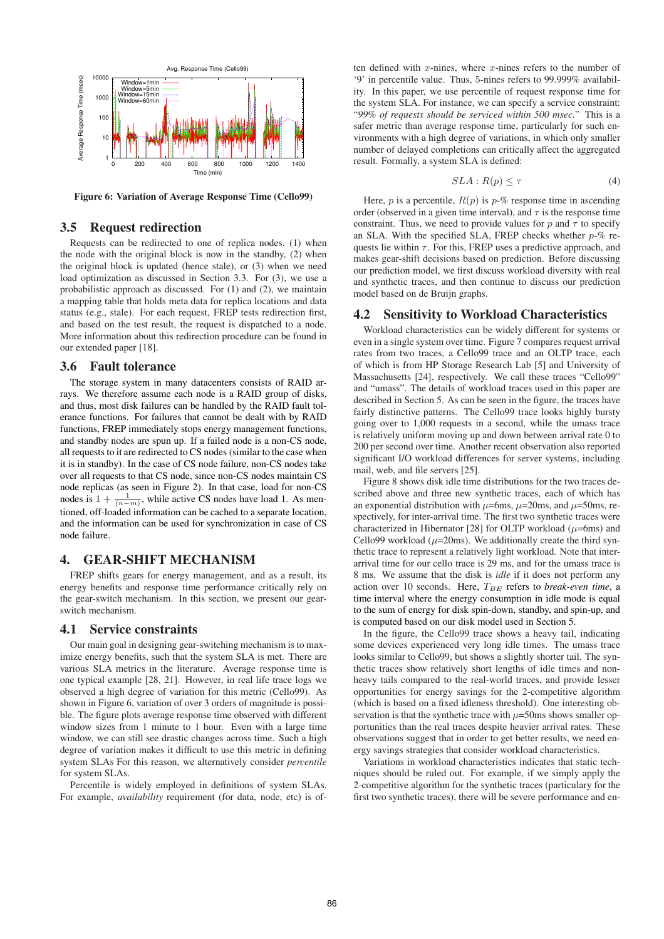

**Figure 6: Variation of Average Response Time (Cello99)**

## **3.5 Request redirection**

Requests can be redirected to one of replica nodes, (1) when the node with the original block is now in the standby, (2) when the original block is updated (hence stale), or (3) when we need load optimization as discussed in Section 3.3. For (3), we use a probabilistic approach as discussed. For (1) and (2), we maintain a mapping table that holds meta data for replica locations and data status (e.g., stale). For each request, FREP tests redirection first, and based on the test result, the request is dispatched to a node. More information about this redirection procedure can be found in our extended paper [18].

#### **3.6 Fault tolerance**

The storage system in many datacenters consists of RAID arrays. We therefore assume each node is a RAID group of disks, and thus, most disk failures can be handled by the RAID fault tolerance functions. For failures that cannot be dealt with by RAID functions, FREP immediately stops energy management functions, and standby nodes are spun up. If a failed node is a non-CS node, all requests to it are redirected to CS nodes (similar to the case when it is in standby). In the case of CS node failure, non-CS nodes take over all requests to that CS node, since non-CS nodes maintain CS node replicas (as seen in Figure 2). In that case, load for non-CS nodes is  $1 + \frac{1}{(n-m)}$ , while active CS nodes have load 1. As mentioned, off-loaded information can be cached to a separate location, and the information can be used for synchronization in case of CS node failure.

# **4. GEAR-SHIFT MECHANISM**

FREP shifts gears for energy management, and as a result, its energy benefits and response time performance critically rely on the gear-switch mechanism. In this section, we present our gearswitch mechanism.

## **4.1 Service constraints**

Our main goal in designing gear-switching mechanism is to maximize energy benefits, such that the system SLA is met. There are various SLA metrics in the literature. Average response time is one typical example [28, 21]. However, in real life trace logs we observed a high degree of variation for this metric (Cello99). As shown in Figure 6, variation of over 3 orders of magnitude is possible. The figure plots average response time observed with different window sizes from 1 minute to 1 hour. Even with a large time window, we can still see drastic changes across time. Such a high degree of variation makes it difficult to use this metric in defining system SLAs For this reason, we alternatively consider *percentile* for system SLAs.

Percentile is widely employed in definitions of system SLAs. For example, *availability* requirement (for data, node, etc) is of-

ten defined with  $x$ -nines, where  $x$ -nines refers to the number of '9' in percentile value. Thus, 5-nines refers to 99.999% availability. In this paper, we use percentile of request response time for the system SLA. For instance, we can specify a service constraint: "*99% of requests should be serviced within 500 msec.*" This is a safer metric than average response time, particularly for such environments with a high degree of variations, in which only smaller number of delayed completions can critically affect the aggregated result. Formally, a system SLA is defined:

$$
SLA: R(p) \le \tau \tag{4}
$$

Here, p is a percentile,  $R(p)$  is p-% response time in ascending order (observed in a given time interval), and  $\tau$  is the response time constraint. Thus, we need to provide values for p and  $\tau$  to specify an SLA. With the specified SLA, FREP checks whether  $p-\%$  requests lie within  $\tau$ . For this, FREP uses a predictive approach, and makes gear-shift decisions based on prediction. Before discussing our prediction model, we first discuss workload diversity with real and synthetic traces, and then continue to discuss our prediction model based on de Bruijn graphs.

#### **4.2 Sensitivity to Workload Characteristics**

Workload characteristics can be widely different for systems or even in a single system over time. Figure 7 compares request arrival rates from two traces, a Cello99 trace and an OLTP trace, each of which is from HP Storage Research Lab [5] and University of Massachusetts [24], respectively. We call these traces "Cello99" and "umass". The details of workload traces used in this paper are described in Section 5. As can be seen in the figure, the traces have fairly distinctive patterns. The Cello99 trace looks highly bursty going over to 1,000 requests in a second, while the umass trace is relatively uniform moving up and down between arrival rate 0 to 200 per second over time. Another recent observation also reported significant I/O workload differences for server systems, including mail, web, and file servers [25].

Figure 8 shows disk idle time distributions for the two traces described above and three new synthetic traces, each of which has an exponential distribution with  $\mu$ =6ms,  $\mu$ =20ms, and  $\mu$ =50ms, respectively, for inter-arrival time. The first two synthetic traces were characterized in Hibernator [28] for OLTP workload ( $\mu$ =6ms) and Cello99 workload ( $\mu$ =20ms). We additionally create the third synthetic trace to represent a relatively light workload. Note that interarrival time for our cello trace is 29 ms, and for the umass trace is 8 ms. We assume that the disk is *idle* if it does not perform any action over 10 seconds. Here,  $T_{BE}$  refers to *break-even time*, a time interval where the energy consumption in idle mode is equal to the sum of energy for disk spin-down, standby, and spin-up, and is computed based on our disk model used in Section 5.

In the figure, the Cello99 trace shows a heavy tail, indicating some devices experienced very long idle times. The umass trace looks similar to Cello99, but shows a slightly shorter tail. The synthetic traces show relatively short lengths of idle times and nonheavy tails compared to the real-world traces, and provide lesser opportunities for energy savings for the 2-competitive algorithm (which is based on a fixed idleness threshold). One interesting observation is that the synthetic trace with  $\mu$ =50ms shows smaller opportunities than the real traces despite heavier arrival rates. These observations suggest that in order to get better results, we need energy savings strategies that consider workload characteristics.

Variations in workload characteristics indicates that static techniques should be ruled out. For example, if we simply apply the 2-competitive algorithm for the synthetic traces (particulary for the first two synthetic traces), there will be severe performance and en-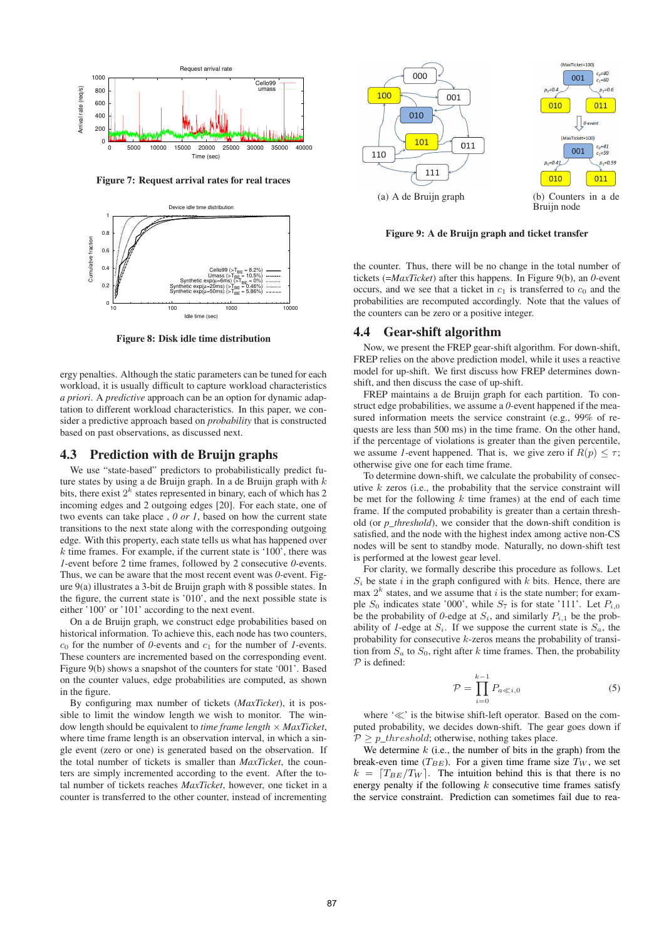

**Figure 7: Request arrival rates for real traces**



**Figure 8: Disk idle time distribution**

ergy penalties. Although the static parameters can be tuned for each workload, it is usually difficult to capture workload characteristics *a priori*. A *predictive* approach can be an option for dynamic adaptation to different workload characteristics. In this paper, we consider a predictive approach based on *probability* that is constructed based on past observations, as discussed next.

## **4.3 Prediction with de Bruijn graphs**

We use "state-based" predictors to probabilistically predict future states by using a de Bruijn graph. In a de Bruijn graph with  $k$ bits, there exist  $2^k$  states represented in binary, each of which has 2 incoming edges and 2 outgoing edges [20]. For each state, one of two events can take place , *0 or 1*, based on how the current state transitions to the next state along with the corresponding outgoing edge. With this property, each state tells us what has happened over  $k$  time frames. For example, if the current state is '100', there was *1-*event before 2 time frames, followed by 2 consecutive *0-*events. Thus, we can be aware that the most recent event was *0-*event. Figure 9(a) illustrates a 3-bit de Bruijn graph with 8 possible states. In the figure, the current state is '010', and the next possible state is either '100' or '101' according to the next event.

On a de Bruijn graph, we construct edge probabilities based on historical information. To achieve this, each node has two counters,  $c_0$  for the number of  $0$ -events and  $c_1$  for the number of *1*-events. These counters are incremented based on the corresponding event. Figure 9(b) shows a snapshot of the counters for state '001'. Based on the counter values, edge probabilities are computed, as shown in the figure.

By configuring max number of tickets (*MaxTicket*), it is possible to limit the window length we wish to monitor. The window length should be equivalent to *time frame length* × *MaxTicket*, where time frame length is an observation interval, in which a single event (zero or one) is generated based on the observation. If the total number of tickets is smaller than *MaxTicket*, the counters are simply incremented according to the event. After the total number of tickets reaches *MaxTicket*, however, one ticket in a counter is transferred to the other counter, instead of incrementing



**Figure 9: A de Bruijn graph and ticket transfer**

the counter. Thus, there will be no change in the total number of tickets (=*MaxTicket*) after this happens. In Figure 9(b), an *0-*event occurs, and we see that a ticket in  $c_1$  is transferred to  $c_0$  and the probabilities are recomputed accordingly. Note that the values of the counters can be zero or a positive integer.

#### **4.4 Gear-shift algorithm**

Now, we present the FREP gear-shift algorithm. For down-shift, FREP relies on the above prediction model, while it uses a reactive model for up-shift. We first discuss how FREP determines downshift, and then discuss the case of up-shift.

FREP maintains a de Bruijn graph for each partition. To construct edge probabilities, we assume a *0-*event happened if the measured information meets the service constraint (e.g., 99% of requests are less than 500 ms) in the time frame. On the other hand, if the percentage of violations is greater than the given percentile, we assume *1*-event happened. That is, we give zero if  $R(p) \leq \tau$ ; otherwise give one for each time frame.

To determine down-shift, we calculate the probability of consecutive  $k$  zeros (i.e., the probability that the service constraint will be met for the following  $k$  time frames) at the end of each time frame. If the computed probability is greater than a certain threshold (or *p\_threshold*), we consider that the down-shift condition is satisfied, and the node with the highest index among active non-CS nodes will be sent to standby mode. Naturally, no down-shift test is performed at the lowest gear level.

For clarity, we formally describe this procedure as follows. Let  $S_i$  be state i in the graph configured with k bits. Hence, there are max  $2<sup>k</sup>$  states, and we assume that i is the state number; for example  $S_0$  indicates state '000', while  $S_7$  is for state '111'. Let  $P_{i,0}$ be the probability of *0*-edge at  $S_i$ , and similarly  $P_{i,1}$  be the probability of *1*-edge at  $S_i$ . If we suppose the current state is  $S_a$ , the probability for consecutive k-zeros means the probability of transition from  $S_a$  to  $S_0$ , right after k time frames. Then, the probability  $P$  is defined:

$$
\mathcal{P} = \prod_{i=0}^{k-1} P_{a \ll i,0} \tag{5}
$$

where '≪' is the bitwise shift-left operator. Based on the computed probability, we decides down-shift. The gear goes down if  $P \geq p_{\text{}}-threshold$ ; otherwise, nothing takes place.

We determine  $k$  (i.e., the number of bits in the graph) from the break-even time  $(T_{BE})$ . For a given time frame size  $T_W$ , we set  $k = [T_{BE}/T_W]$ . The intuition behind this is that there is no energy penalty if the following  $k$  consecutive time frames satisfy the service constraint. Prediction can sometimes fail due to rea-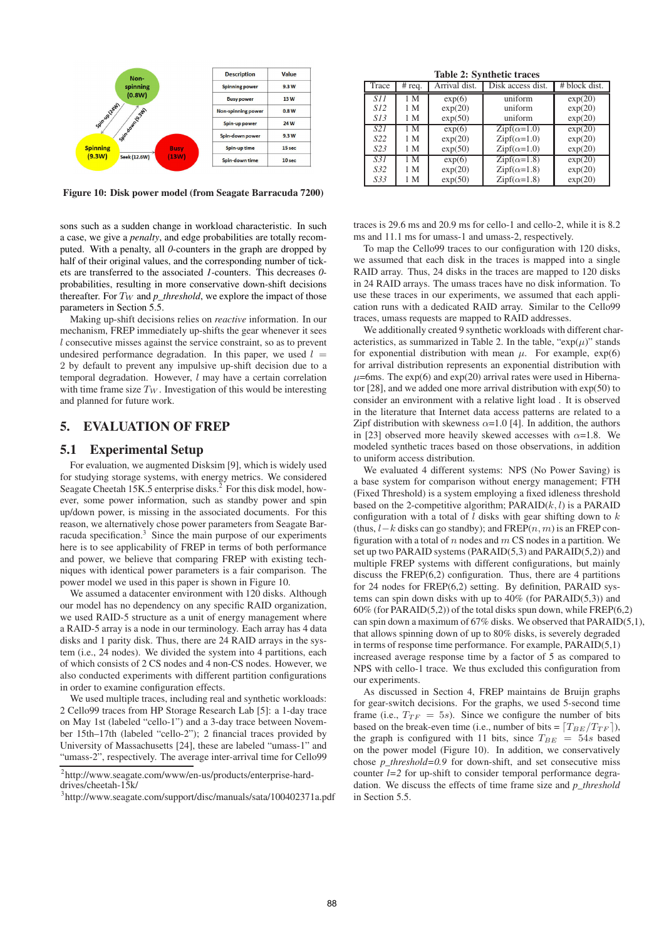

**Figure 10: Disk power model (from Seagate Barracuda 7200)**

sons such as a sudden change in workload characteristic. In such a case, we give a *penalty*, and edge probabilities are totally recomputed. With a penalty, all *0-*counters in the graph are dropped by half of their original values, and the corresponding number of tickets are transferred to the associated *1-*counters. This decreases *0* probabilities, resulting in more conservative down-shift decisions thereafter. For  $T_W$  and  $p_{\text{I}}$ *threshold*, we explore the impact of those parameters in Section 5.5.

Making up-shift decisions relies on *reactive* information. In our mechanism, FREP immediately up-shifts the gear whenever it sees l consecutive misses against the service constraint, so as to prevent undesired performance degradation. In this paper, we used  $l =$ 2 by default to prevent any impulsive up-shift decision due to a temporal degradation. However,  $l$  may have a certain correlation with time frame size  $T_W$ . Investigation of this would be interesting and planned for future work.

# **5. EVALUATION OF FREP**

## **5.1 Experimental Setup**

For evaluation, we augmented Disksim [9], which is widely used for studying storage systems, with energy metrics. We considered Seagate Cheetah 15K.5 enterprise disks.<sup>2</sup> For this disk model, however, some power information, such as standby power and spin up/down power, is missing in the associated documents. For this reason, we alternatively chose power parameters from Seagate Barracuda specification.<sup>3</sup> Since the main purpose of our experiments here is to see applicability of FREP in terms of both performance and power, we believe that comparing FREP with existing techniques with identical power parameters is a fair comparison. The power model we used in this paper is shown in Figure 10.

We assumed a datacenter environment with 120 disks. Although our model has no dependency on any specific RAID organization, we used RAID-5 structure as a unit of energy management where a RAID-5 array is a node in our terminology. Each array has 4 data disks and 1 parity disk. Thus, there are 24 RAID arrays in the system (i.e., 24 nodes). We divided the system into 4 partitions, each of which consists of 2 CS nodes and 4 non-CS nodes. However, we also conducted experiments with different partition configurations in order to examine configuration effects.

We used multiple traces, including real and synthetic workloads: 2 Cello99 traces from HP Storage Research Lab [5]: a 1-day trace on May 1st (labeled "cello-1") and a 3-day trace between November 15th–17th (labeled "cello-2"); 2 financial traces provided by University of Massachusetts [24], these are labeled "umass-1" and "umass-2", respectively. The average inter-arrival time for Cello99

#### **Table 2: Synthetic traces**

| Trace            | $# \text{req}.$ | Arrival dist. | Disk access dist.         | # block dist. |
|------------------|-----------------|---------------|---------------------------|---------------|
| S11              | 1 M             | exp(6)        | uniform                   | exp(20)       |
| <i>S12</i>       | 1 M             | exp(20)       | uniform                   | exp(20)       |
| S13              | 1 M             | exp(50)       | uniform                   | exp(20)       |
| S <sub>2</sub> 1 | 1 M             | exp(6)        | $\text{Zipf}(\alpha=1.0)$ | exp(20)       |
| S <sub>22</sub>  | 1 M             | exp(20)       | $\text{Zipf}(\alpha=1.0)$ | exp(20)       |
| S <sub>23</sub>  | 1 M             | exp(50)       | $\text{Zipf}(\alpha=1.0)$ | exp(20)       |
| S31              | 1 M             | exp(6)        | $\text{Zipf}(\alpha=1.8)$ | exp(20)       |
| S32              | 1 M             | exp(20)       | $\text{Zipf}(\alpha=1.8)$ | exp(20)       |
| S33              | 1 M             | exp(50)       | $\text{Zipf}(\alpha=1.8)$ | exp(20)       |

traces is 29.6 ms and 20.9 ms for cello-1 and cello-2, while it is 8.2 ms and 11.1 ms for umass-1 and umass-2, respectively.

To map the Cello99 traces to our configuration with 120 disks, we assumed that each disk in the traces is mapped into a single RAID array. Thus, 24 disks in the traces are mapped to 120 disks in 24 RAID arrays. The umass traces have no disk information. To use these traces in our experiments, we assumed that each application runs with a dedicated RAID array. Similar to the Cello99 traces, umass requests are mapped to RAID addresses.

We additionally created 9 synthetic workloads with different characteristics, as summarized in Table 2. In the table, " $\exp(\mu)$ " stands for exponential distribution with mean  $\mu$ . For example, exp(6) for arrival distribution represents an exponential distribution with  $\mu$ =6ms. The exp(6) and exp(20) arrival rates were used in Hibernator [28], and we added one more arrival distribution with exp(50) to consider an environment with a relative light load . It is observed in the literature that Internet data access patterns are related to a Zipf distribution with skewness  $\alpha$ =1.0 [4]. In addition, the authors in [23] observed more heavily skewed accesses with  $\alpha$ =1.8. We modeled synthetic traces based on those observations, in addition to uniform access distribution.

We evaluated 4 different systems: NPS (No Power Saving) is a base system for comparison without energy management; FTH (Fixed Threshold) is a system employing a fixed idleness threshold based on the 2-competitive algorithm;  $PARAID(k, l)$  is a PARAID configuration with a total of  $l$  disks with gear shifting down to  $k$ (thus,  $l-k$  disks can go standby); and FREP $(n, m)$  is an FREP configuration with a total of  $n$  nodes and  $m$  CS nodes in a partition. We set up two PARAID systems (PARAID(5,3) and PARAID(5,2)) and multiple FREP systems with different configurations, but mainly discuss the FREP(6,2) configuration. Thus, there are 4 partitions for 24 nodes for FREP(6,2) setting. By definition, PARAID systems can spin down disks with up to 40% (for PARAID(5,3)) and  $60\%$  (for PARAID(5,2)) of the total disks spun down, while FREP(6,2) can spin down a maximum of 67% disks. We observed that PARAID(5,1), that allows spinning down of up to 80% disks, is severely degraded in terms of response time performance. For example, PARAID(5,1) increased average response time by a factor of 5 as compared to NPS with cello-1 trace. We thus excluded this configuration from our experiments.

As discussed in Section 4, FREP maintains de Bruijn graphs for gear-switch decisions. For the graphs, we used 5-second time frame (i.e.,  $T_{TF} = 5s$ ). Since we configure the number of bits based on the break-even time (i.e., number of bits =  $[T_{BE}/T_{TF}]$ ), the graph is configured with 11 bits, since  $T_{BE}$  = 54s based on the power model (Figure 10). In addition, we conservatively chose *p\_threshold=0.9* for down-shift, and set consecutive miss counter *l*=2 for up-shift to consider temporal performance degradation. We discuss the effects of time frame size and *p\_threshold* in Section 5.5.

<sup>&</sup>lt;sup>2</sup>http://www.seagate.com/www/en-us/products/enterprise-harddrives/cheetah-15k/

<sup>&</sup>lt;sup>3</sup>http://www.seagate.com/support/disc/manuals/sata/100402371a.pdf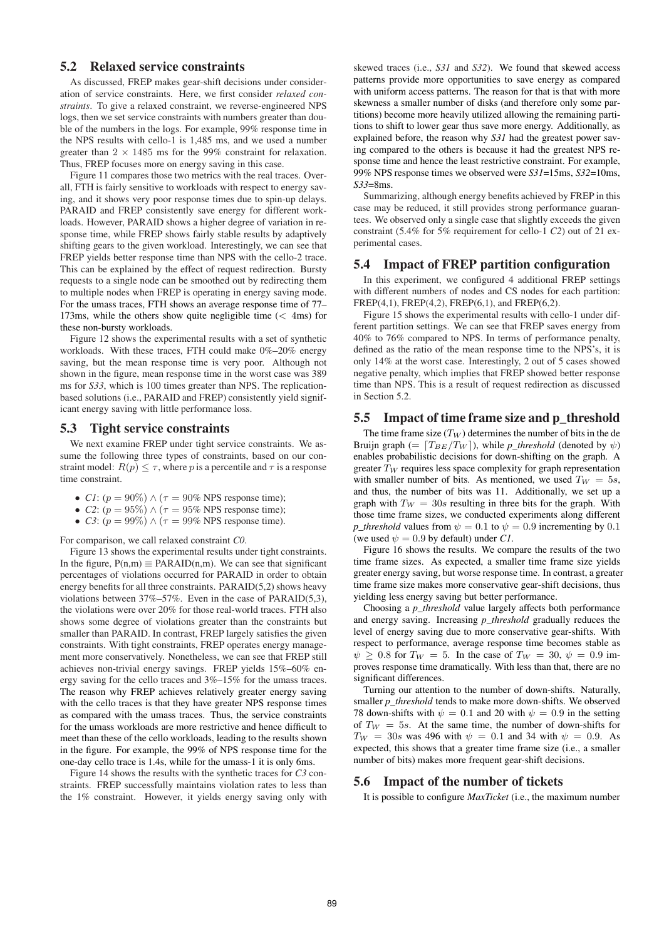# **5.2 Relaxed service constraints**

As discussed, FREP makes gear-shift decisions under consideration of service constraints. Here, we first consider *relaxed constraints*. To give a relaxed constraint, we reverse-engineered NPS logs, then we set service constraints with numbers greater than double of the numbers in the logs. For example, 99% response time in the NPS results with cello-1 is 1,485 ms, and we used a number greater than  $2 \times 1485$  ms for the 99% constraint for relaxation. Thus, FREP focuses more on energy saving in this case.

Figure 11 compares those two metrics with the real traces. Overall, FTH is fairly sensitive to workloads with respect to energy saving, and it shows very poor response times due to spin-up delays. PARAID and FREP consistently save energy for different workloads. However, PARAID shows a higher degree of variation in response time, while FREP shows fairly stable results by adaptively shifting gears to the given workload. Interestingly, we can see that FREP yields better response time than NPS with the cello-2 trace. This can be explained by the effect of request redirection. Bursty requests to a single node can be smoothed out by redirecting them to multiple nodes when FREP is operating in energy saving mode. For the umass traces, FTH shows an average response time of 77– 173ms, while the others show quite negligible time (< 4ms) for these non-bursty workloads.

Figure 12 shows the experimental results with a set of synthetic workloads. With these traces, FTH could make 0%–20% energy saving, but the mean response time is very poor. Although not shown in the figure, mean response time in the worst case was 389 ms for *S33*, which is 100 times greater than NPS. The replicationbased solutions (i.e., PARAID and FREP) consistently yield significant energy saving with little performance loss.

#### **5.3 Tight service constraints**

We next examine FREP under tight service constraints. We assume the following three types of constraints, based on our constraint model:  $R(p) \leq \tau$ , where p is a percentile and  $\tau$  is a response time constraint.

- *C1*:  $(p = 90\%) \wedge (\tau = 90\% \text{ NPS} \text{ response time})$ :
- *C2*:  $(p = 95\%) \wedge (\tau = 95\% \text{ NPS} \text{ response time})$ ;
- *C3*:  $(p = 99\%) \wedge (\tau = 99\% \text{ NPS} \text{ response time}).$

For comparison, we call relaxed constraint *C0*.

Figure 13 shows the experimental results under tight constraints. In the figure,  $P(n,m) \equiv PARAID(n,m)$ . We can see that significant percentages of violations occurred for PARAID in order to obtain energy benefits for all three constraints. PARAID(5,2) shows heavy violations between 37%–57%. Even in the case of PARAID(5,3), the violations were over 20% for those real-world traces. FTH also shows some degree of violations greater than the constraints but smaller than PARAID. In contrast, FREP largely satisfies the given constraints. With tight constraints, FREP operates energy management more conservatively. Nonetheless, we can see that FREP still achieves non-trivial energy savings. FREP yields 15%–60% energy saving for the cello traces and 3%–15% for the umass traces. The reason why FREP achieves relatively greater energy saving with the cello traces is that they have greater NPS response times as compared with the umass traces. Thus, the service constraints for the umass workloads are more restrictive and hence difficult to meet than these of the cello workloads, leading to the results shown in the figure. For example, the 99% of NPS response time for the one-day cello trace is 1.4s, while for the umass-1 it is only 6ms.

Figure 14 shows the results with the synthetic traces for *C3* constraints. FREP successfully maintains violation rates to less than the 1% constraint. However, it yields energy saving only with

skewed traces (i.e., *S31* and *S32*). We found that skewed access patterns provide more opportunities to save energy as compared with uniform access patterns. The reason for that is that with more skewness a smaller number of disks (and therefore only some partitions) become more heavily utilized allowing the remaining partitions to shift to lower gear thus save more energy. Additionally, as explained before, the reason why *S31* had the greatest power saving compared to the others is because it had the greatest NPS response time and hence the least restrictive constraint. For example, 99% NPS response times we observed were *S31*=15ms, *S32*=10ms, *S33*=8ms.

Summarizing, although energy benefits achieved by FREP in this case may be reduced, it still provides strong performance guarantees. We observed only a single case that slightly exceeds the given constraint (5.4% for 5% requirement for cello-1 *C2*) out of 21 experimental cases.

## **5.4 Impact of FREP partition configuration**

In this experiment, we configured 4 additional FREP settings with different numbers of nodes and CS nodes for each partition:  $FREP(4,1)$ ,  $FREP(4,2)$ ,  $FREP(6,1)$ , and  $FREP(6,2)$ .

Figure 15 shows the experimental results with cello-1 under different partition settings. We can see that FREP saves energy from 40% to 76% compared to NPS. In terms of performance penalty, defined as the ratio of the mean response time to the NPS's, it is only 14% at the worst case. Interestingly, 2 out of 5 cases showed negative penalty, which implies that FREP showed better response time than NPS. This is a result of request redirection as discussed in Section 5.2.

## **5.5 Impact of time frame size and p\_threshold**

The time frame size  $(T_W)$  determines the number of bits in the de Bruijn graph (=  $[T_{BE}/T_W]$ ), while *p\_threshold* (denoted by  $\psi$ ) enables probabilistic decisions for down-shifting on the graph. A greater  $T_W$  requires less space complexity for graph representation with smaller number of bits. As mentioned, we used  $T_W = 5s$ , and thus, the number of bits was 11. Additionally, we set up a graph with  $T_W = 30s$  resulting in three bits for the graph. With those time frame sizes, we conducted experiments along different *p\_threshold* values from  $\psi = 0.1$  to  $\psi = 0.9$  incrementing by 0.1 (we used  $\psi = 0.9$  by default) under *C1*.

Figure 16 shows the results. We compare the results of the two time frame sizes. As expected, a smaller time frame size yields greater energy saving, but worse response time. In contrast, a greater time frame size makes more conservative gear-shift decisions, thus yielding less energy saving but better performance.

Choosing a *p\_threshold* value largely affects both performance and energy saving. Increasing *p\_threshold* gradually reduces the level of energy saving due to more conservative gear-shifts. With respect to performance, average response time becomes stable as  $\psi \geq 0.8$  for  $T_W = 5$ . In the case of  $T_W = 30$ ,  $\psi = 0.9$  improves response time dramatically. With less than that, there are no significant differences.

Turning our attention to the number of down-shifts. Naturally, smaller *p\_threshold* tends to make more down-shifts. We observed 78 down-shifts with  $\psi = 0.1$  and 20 with  $\psi = 0.9$  in the setting of  $T_W = 5s$ . At the same time, the number of down-shifts for  $T_W = 30s$  was 496 with  $\psi = 0.1$  and 34 with  $\psi = 0.9$ . As expected, this shows that a greater time frame size (i.e., a smaller number of bits) makes more frequent gear-shift decisions.

#### **5.6 Impact of the number of tickets**

It is possible to configure *MaxTicket* (i.e., the maximum number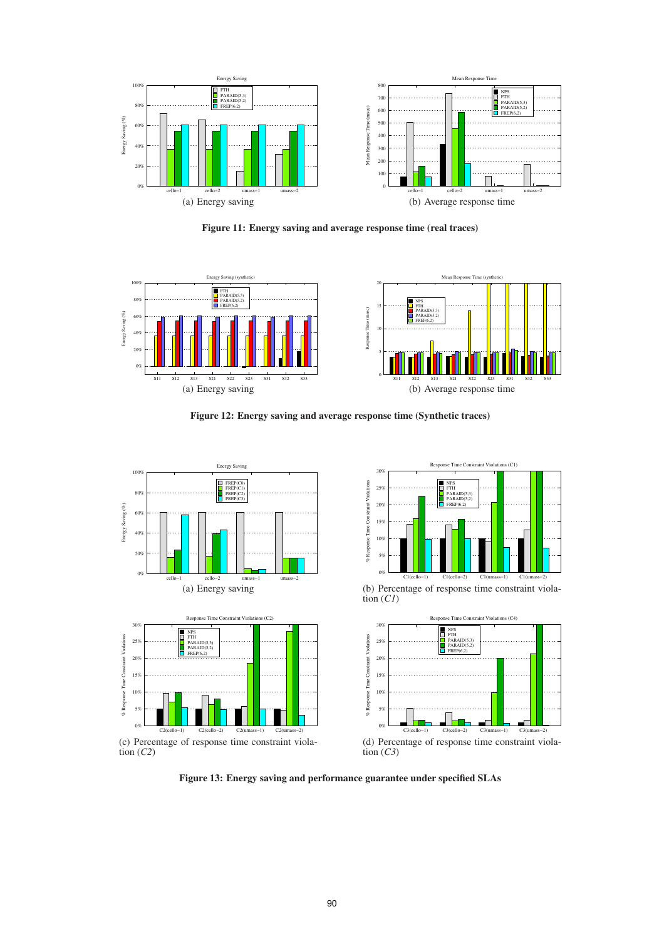

**Figure 11: Energy saving and average response time (real traces)**



**Figure 12: Energy saving and average response time (Synthetic traces)**





 $\frac{1}{\tan(C_2)}$ 



(b) Percentage of response time constraint violation (*C1*)



(d) Percentage of response time constraint viola- $\frac{\text{tion}(C_3)}{\text{tion}(C_3)}$ 

**Figure 13: Energy saving and performance guarantee under specified SLAs**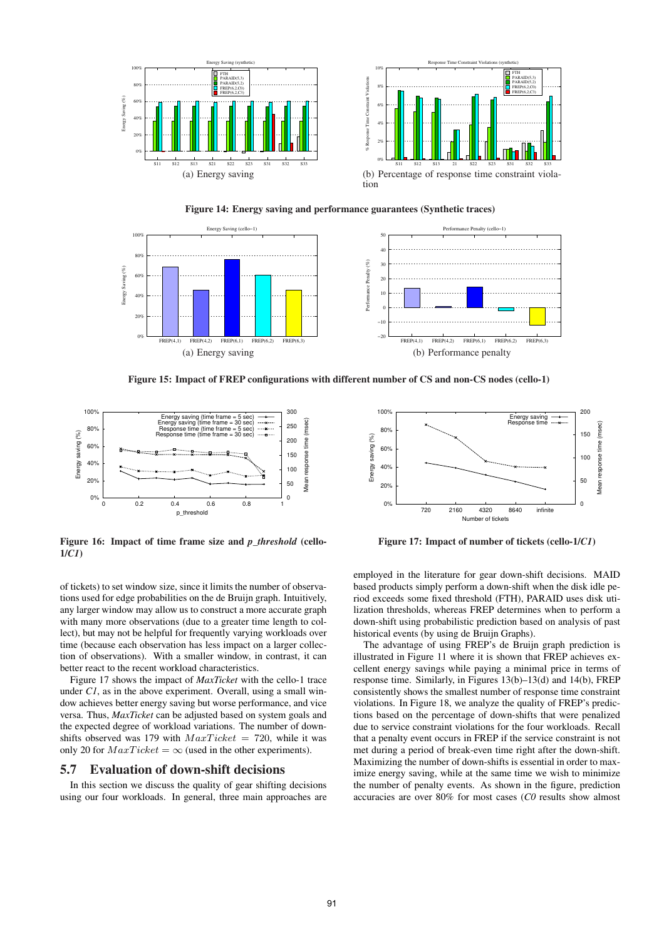

**Figure 14: Energy saving and performance guarantees (Synthetic traces)**



**Figure 15: Impact of FREP configurations with different number of CS and non-CS nodes (cello-1)**



**Figure 16: Impact of time frame size and** *p\_threshold* **(cello-1/***C1***)**

of tickets) to set window size, since it limits the number of observations used for edge probabilities on the de Bruijn graph. Intuitively, any larger window may allow us to construct a more accurate graph with many more observations (due to a greater time length to collect), but may not be helpful for frequently varying workloads over time (because each observation has less impact on a larger collection of observations). With a smaller window, in contrast, it can better react to the recent workload characteristics.

Figure 17 shows the impact of *MaxTicket* with the cello-1 trace under *C1*, as in the above experiment. Overall, using a small window achieves better energy saving but worse performance, and vice versa. Thus, *MaxTicket* can be adjusted based on system goals and the expected degree of workload variations. The number of downshifts observed was 179 with  $MaxTicket = 720$ , while it was only 20 for  $MaxTicket = \infty$  (used in the other experiments).

#### **5.7 Evaluation of down-shift decisions**

In this section we discuss the quality of gear shifting decisions using our four workloads. In general, three main approaches are



**Figure 17: Impact of number of tickets (cello-1/***C1***)**

employed in the literature for gear down-shift decisions. MAID based products simply perform a down-shift when the disk idle period exceeds some fixed threshold (FTH), PARAID uses disk utilization thresholds, whereas FREP determines when to perform a down-shift using probabilistic prediction based on analysis of past historical events (by using de Bruijn Graphs).

The advantage of using FREP's de Bruijn graph prediction is illustrated in Figure 11 where it is shown that FREP achieves excellent energy savings while paying a minimal price in terms of response time. Similarly, in Figures 13(b)–13(d) and 14(b), FREP consistently shows the smallest number of response time constraint violations. In Figure 18, we analyze the quality of FREP's predictions based on the percentage of down-shifts that were penalized due to service constraint violations for the four workloads. Recall that a penalty event occurs in FREP if the service constraint is not met during a period of break-even time right after the down-shift. Maximizing the number of down-shifts is essential in order to maximize energy saving, while at the same time we wish to minimize the number of penalty events. As shown in the figure, prediction accuracies are over 80% for most cases (*C0* results show almost